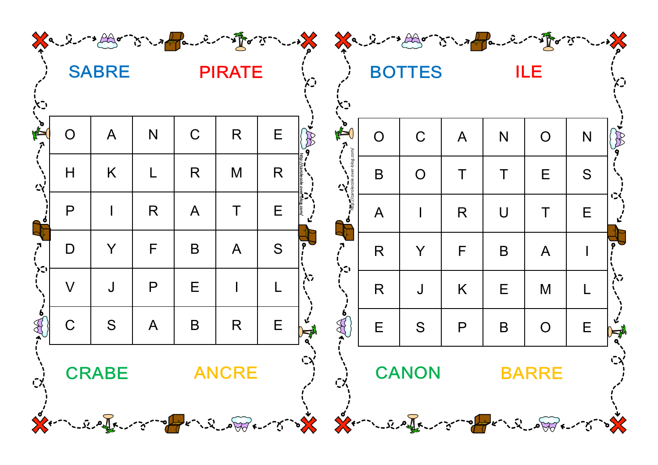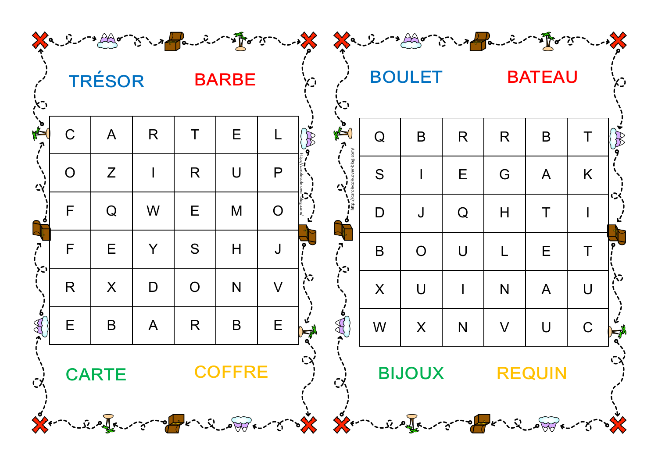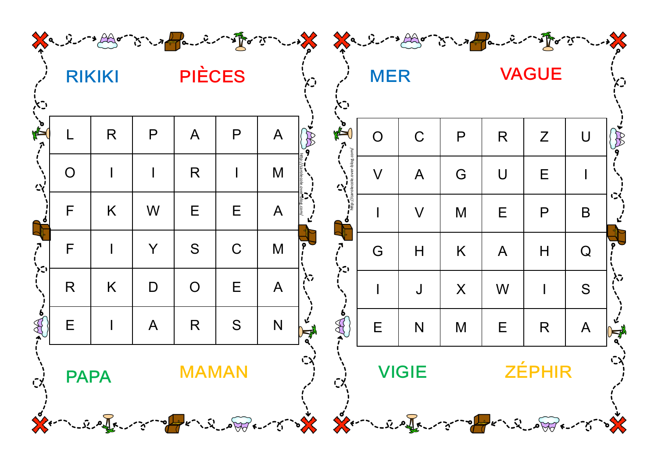